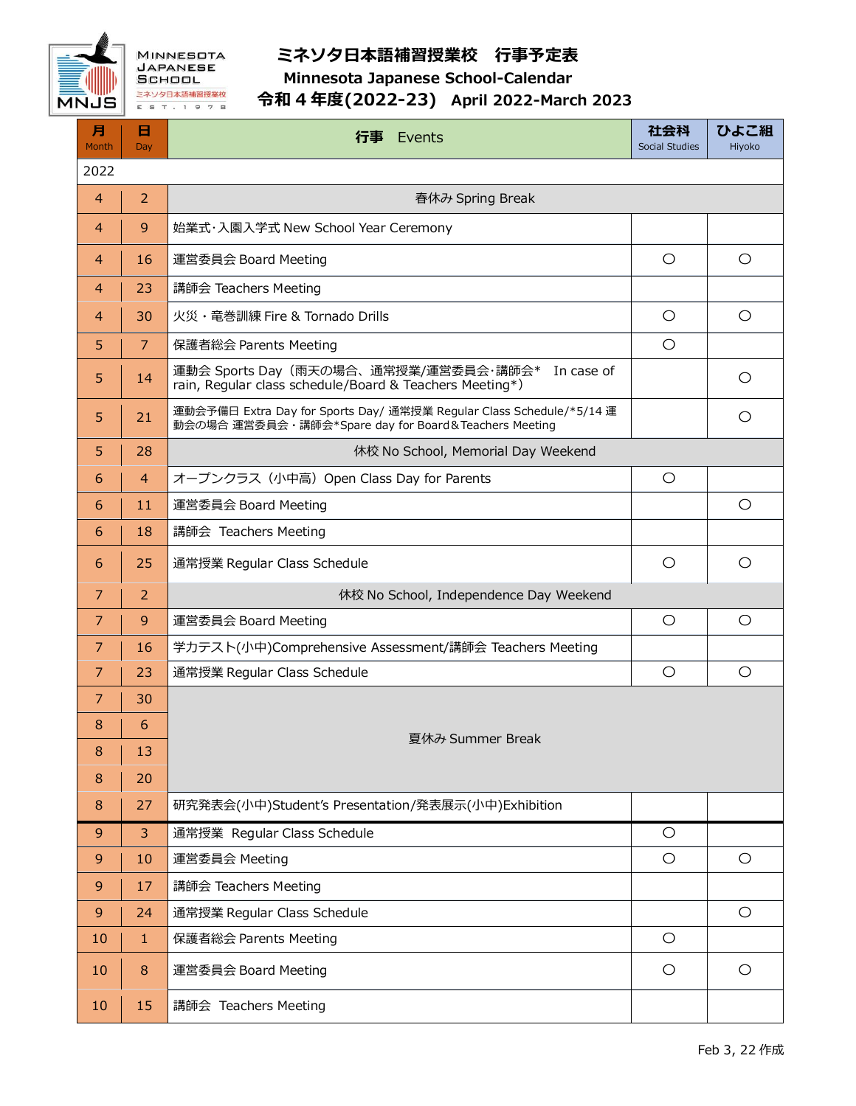

## **ミネソタ日本語補習授業校 行事予定表**

**Minnesota Japanese School-Calendar**

## **令和 4 年度(2022-23) April 2022-March 2023**

| 月<br>Month     | 日<br>Day       | 行事<br>Events                                                                                                                 | 社会科<br>Social Studies | ひよこ組<br>Hiyoko |  |  |
|----------------|----------------|------------------------------------------------------------------------------------------------------------------------------|-----------------------|----------------|--|--|
| 2022           |                |                                                                                                                              |                       |                |  |  |
| $\overline{4}$ | $\overline{2}$ | 春休み Spring Break                                                                                                             |                       |                |  |  |
| $\overline{4}$ | 9              | 始業式·入園入学式 New School Year Ceremony                                                                                           |                       |                |  |  |
| 4              | 16             | 運営委員会 Board Meeting                                                                                                          | $\circ$               | $\circ$        |  |  |
| $\overline{4}$ | 23             | 講師会 Teachers Meeting                                                                                                         |                       |                |  |  |
| 4              | 30             | 火災・竜巻訓練 Fire & Tornado Drills                                                                                                | $\circ$               | $\circ$        |  |  |
| 5              | 7              | 保護者総会 Parents Meeting                                                                                                        | $\circ$               |                |  |  |
| 5              | 14             | 運動会 Sports Day (雨天の場合、通常授業/運営委員会・講師会*<br>In case of<br>rain, Regular class schedule/Board & Teachers Meeting*)               |                       | $\circ$        |  |  |
| 5              | 21             | 運動会予備日 Extra Day for Sports Day/ 通常授業 Regular Class Schedule/*5/14 運<br>動会の場合 運営委員会・講師会*Spare day for Board&Teachers Meeting |                       | O              |  |  |
| 5              | 28             | 休校 No School, Memorial Day Weekend                                                                                           |                       |                |  |  |
| 6              | $\overline{4}$ | オープンクラス (小中高) Open Class Day for Parents                                                                                     | $\bigcirc$            |                |  |  |
| 6              | 11             | 運営委員会 Board Meeting                                                                                                          |                       | $\circ$        |  |  |
| 6              | 18             | 講師会 Teachers Meeting                                                                                                         |                       |                |  |  |
| 6              | 25             | 通常授業 Regular Class Schedule                                                                                                  | O                     | $\circ$        |  |  |
| $\overline{7}$ | 2              | 休校 No School, Independence Day Weekend                                                                                       |                       |                |  |  |
| 7              | 9              | 運営委員会 Board Meeting                                                                                                          | O                     | O              |  |  |
| 7              | 16             | 学カテスト(小中)Comprehensive Assessment/講師会 Teachers Meeting                                                                       |                       |                |  |  |
| 7              | 23             | 通常授業 Regular Class Schedule                                                                                                  | O                     | $\circ$        |  |  |
| $\overline{7}$ | 30             | 夏休み Summer Break                                                                                                             |                       |                |  |  |
| 8              | 6              |                                                                                                                              |                       |                |  |  |
|                | $8 \mid 13$    |                                                                                                                              |                       |                |  |  |
| 8              | 20             |                                                                                                                              |                       |                |  |  |
| 8              | 27             | 研究発表会(小中)Student's Presentation/発表展示(小中)Exhibition                                                                           |                       |                |  |  |
| 9              | 3              | 通常授業 Regular Class Schedule                                                                                                  | $\circ$               |                |  |  |
| 9              | 10             | 運営委員会 Meeting                                                                                                                | $\bigcirc$            | $\bigcirc$     |  |  |
| 9              | 17             | 講師会 Teachers Meeting                                                                                                         |                       |                |  |  |
| 9              | 24             | 通常授業 Regular Class Schedule                                                                                                  |                       | $\bigcirc$     |  |  |
| 10             | $\mathbf{1}$   | 保護者総会 Parents Meeting                                                                                                        | $\circ$               |                |  |  |
| 10             | 8              | 運営委員会 Board Meeting                                                                                                          | O                     | $\circ$        |  |  |
| 10             | 15             | 講師会 Teachers Meeting                                                                                                         |                       |                |  |  |